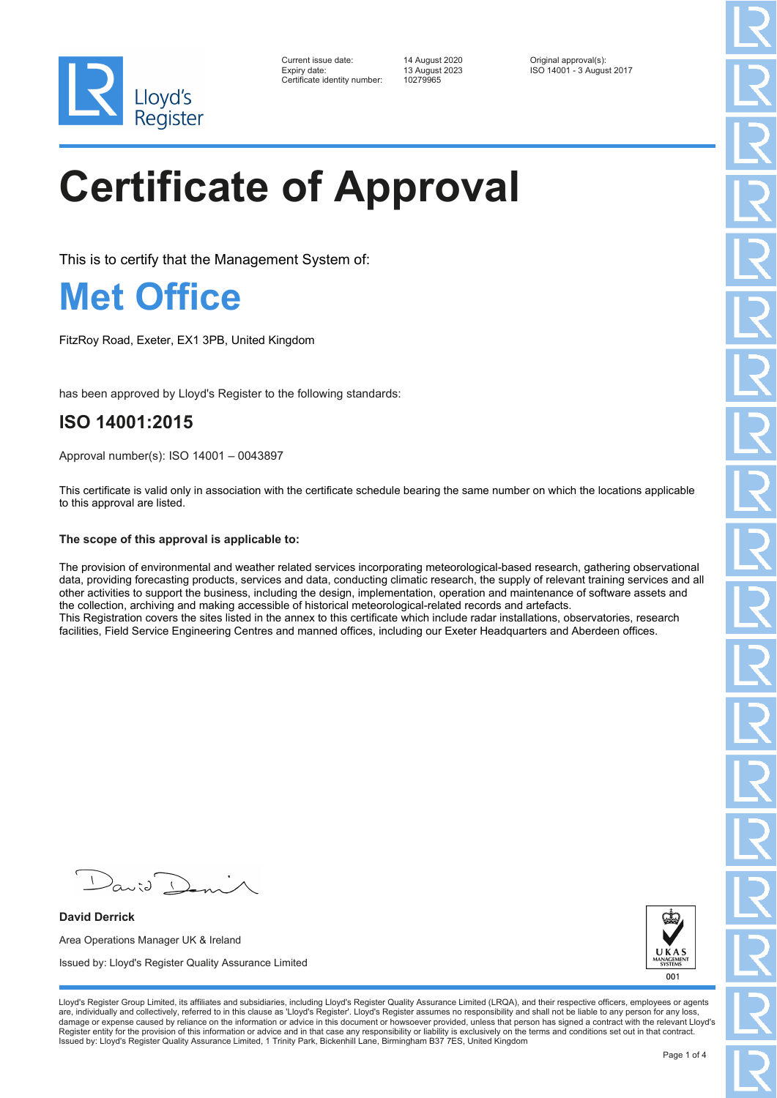

| Current issue date:         |
|-----------------------------|
| Expiry date:                |
| Certificate identity number |

Certificate identity number: 10279965

Current issue date: 14 August 2020 Original approval(s): Expiry date: 13 August 2023 ISO 14001 - 3 August 2017

# **Certificate of Approval**

This is to certify that the Management System of:

### **Met Office**

FitzRoy Road, Exeter, EX1 3PB, United Kingdom

has been approved by Lloyd's Register to the following standards:

### **ISO 14001:2015**

Approval number(s): ISO 14001 – 0043897

This certificate is valid only in association with the certificate schedule bearing the same number on which the locations applicable to this approval are listed.

#### **The scope of this approval is applicable to:**

The provision of environmental and weather related services incorporating meteorological-based research, gathering observational data, providing forecasting products, services and data, conducting climatic research, the supply of relevant training services and all other activities to support the business, including the design, implementation, operation and maintenance of software assets and the collection, archiving and making accessible of historical meteorological-related records and artefacts. This Registration covers the sites listed in the annex to this certificate which include radar installations, observatories, research facilities, Field Service Engineering Centres and manned offices, including our Exeter Headquarters and Aberdeen offices.

**David Derrick** Area Operations Manager UK & Ireland Issued by: Lloyd's Register Quality Assurance Limited



Lloyd's Register Group Limited, its affiliates and subsidiaries, including Lloyd's Register Quality Assurance Limited (LRQA), and their respective officers, employees or agents are, individually and collectively, referred to in this clause as 'Lloyd's Register'. Lloyd's Register assumes no responsibility and shall not be liable to any person for any loss,<br>damage or expense caused by reliance on t Register entity for the provision of this information or advice and in that case any responsibility or liability is exclusively on the terms and conditions set out in that contract. Issued by: Lloyd's Register Quality Assurance Limited, 1 Trinity Park, Bickenhill Lane, Birmingham B37 7ES, United Kingdom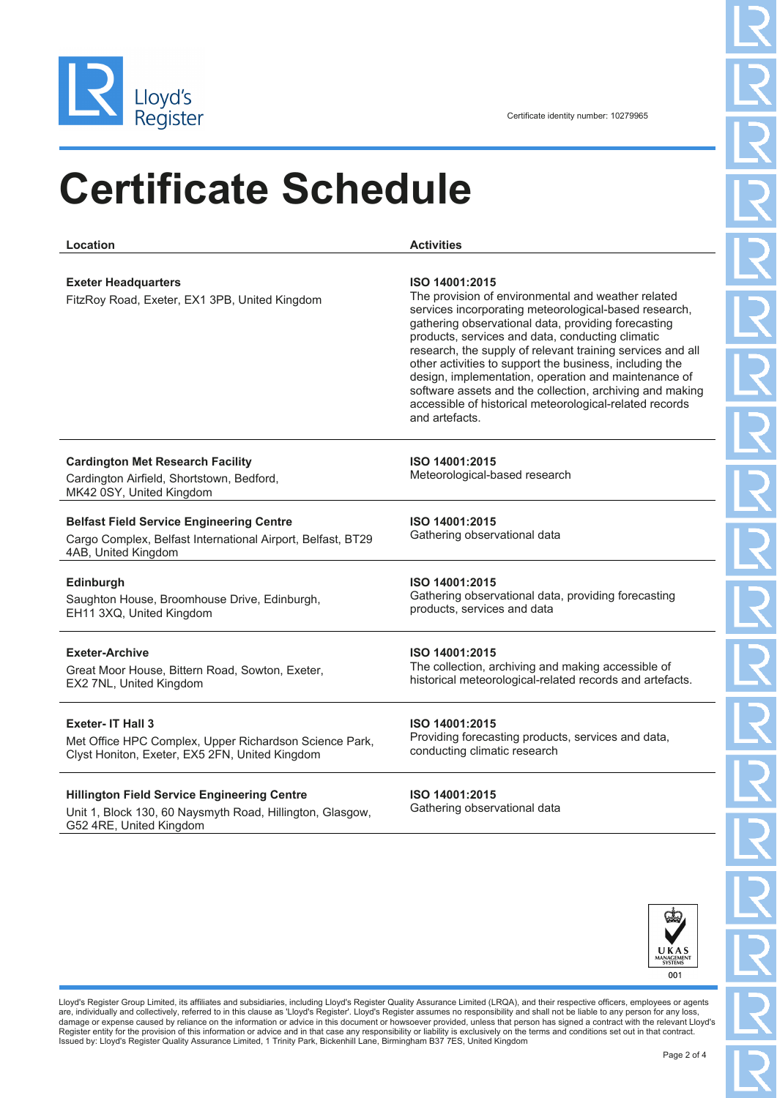

## **Certificate Schedule**

**Location Activities Exeter Headquarters** FitzRoy Road, Exeter, EX1 3PB, United Kingdom **ISO 14001:2015** The provision of environmental and weather related services incorporating meteorological-based research, gathering observational data, providing forecasting products, services and data, conducting climatic research, the supply of relevant training services and all other activities to support the business, including the design, implementation, operation and maintenance of software assets and the collection, archiving and making accessible of historical meteorological-related records and artefacts. **Cardington Met Research Facility** Cardington Airfield, Shortstown, Bedford, MK42 0SY, United Kingdom **ISO 14001:2015** Meteorological-based research **Belfast Field Service Engineering Centre** Cargo Complex, Belfast International Airport, Belfast, BT29 4AB, United Kingdom **ISO 14001:2015** Gathering observational data **Edinburgh** Saughton House, Broomhouse Drive, Edinburgh, EH11 3XQ, United Kingdom **ISO 14001:2015** Gathering observational data, providing forecasting products, services and data **Exeter-Archive** Great Moor House, Bittern Road, Sowton, Exeter, EX2 7NL, United Kingdom **ISO 14001:2015** The collection, archiving and making accessible of historical meteorological-related records and artefacts. **Exeter- IT Hall 3** Met Office HPC Complex, Upper Richardson Science Park, Clyst Honiton, Exeter, EX5 2FN, United Kingdom **ISO 14001:2015** Providing forecasting products, services and data, conducting climatic research **Hillington Field Service Engineering Centre** Unit 1, Block 130, 60 Naysmyth Road, Hillington, Glasgow, G52 4RE, United Kingdom **ISO 14001:2015** Gathering observational data



Lloyd's Register Group Limited, its affiliates and subsidiaries, including Lloyd's Register Quality Assurance Limited (LRQA), and their respective officers, employees or agents are, individually and collectively, referred to in this clause as 'Lloyd's Register'. Lloyd's Register assumes no responsibility and shall not be liable to any person for any loss,<br>damage or expense caused by reliance on t Register entity for the provision of this information or advice and in that case any responsibility or liability is exclusively on the terms and conditions set out in that contract. Issued by: Lloyd's Register Quality Assurance Limited, 1 Trinity Park, Bickenhill Lane, Birmingham B37 7ES, United Kingdom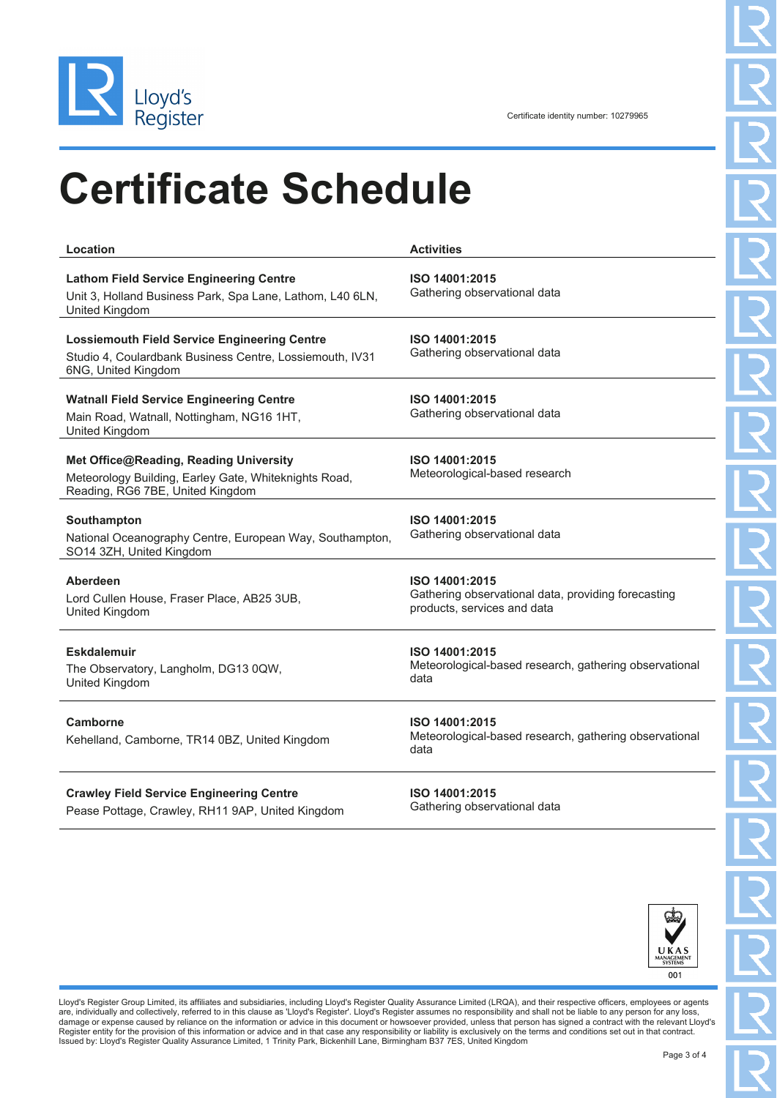

### **Certificate Schedule**

| Location                                                                                                                               | <b>Activities</b>                                                                                    |
|----------------------------------------------------------------------------------------------------------------------------------------|------------------------------------------------------------------------------------------------------|
| <b>Lathom Field Service Engineering Centre</b><br>Unit 3, Holland Business Park, Spa Lane, Lathom, L40 6LN,<br>United Kingdom          | ISO 14001:2015<br>Gathering observational data                                                       |
| <b>Lossiemouth Field Service Engineering Centre</b><br>Studio 4, Coulardbank Business Centre, Lossiemouth, IV31<br>6NG, United Kingdom | ISO 14001:2015<br>Gathering observational data                                                       |
| <b>Watnall Field Service Engineering Centre</b><br>Main Road, Watnall, Nottingham, NG16 1HT,<br>United Kingdom                         | ISO 14001:2015<br>Gathering observational data                                                       |
| Met Office@Reading, Reading University<br>Meteorology Building, Earley Gate, Whiteknights Road,<br>Reading, RG6 7BE, United Kingdom    | ISO 14001:2015<br>Meteorological-based research                                                      |
| Southampton<br>National Oceanography Centre, European Way, Southampton,<br>SO14 3ZH, United Kingdom                                    | ISO 14001:2015<br>Gathering observational data                                                       |
| Aberdeen<br>Lord Cullen House, Fraser Place, AB25 3UB,<br>United Kingdom                                                               | ISO 14001:2015<br>Gathering observational data, providing forecasting<br>products, services and data |
| <b>Eskdalemuir</b><br>The Observatory, Langholm, DG13 0QW,<br>United Kingdom                                                           | ISO 14001:2015<br>Meteorological-based research, gathering observational<br>data                     |
| Camborne<br>Kehelland, Camborne, TR14 0BZ, United Kingdom                                                                              | ISO 14001:2015<br>Meteorological-based research, gathering observational<br>data                     |
| <b>Crawley Field Service Engineering Centre</b><br>Pease Pottage, Crawley, RH11 9AP, United Kingdom                                    | ISO 14001:2015<br>Gathering observational data                                                       |



Lloyd's Register Group Limited, its affiliates and subsidiaries, including Lloyd's Register Quality Assurance Limited (LRQA), and their respective officers, employees or agents<br>are, individually and collectively, referred Register entity for the provision of this information or advice and in that case any responsibility or liability is exclusively on the terms and conditions set out in that contract.<br>Issued by: Lloyd's Register Quality Assu